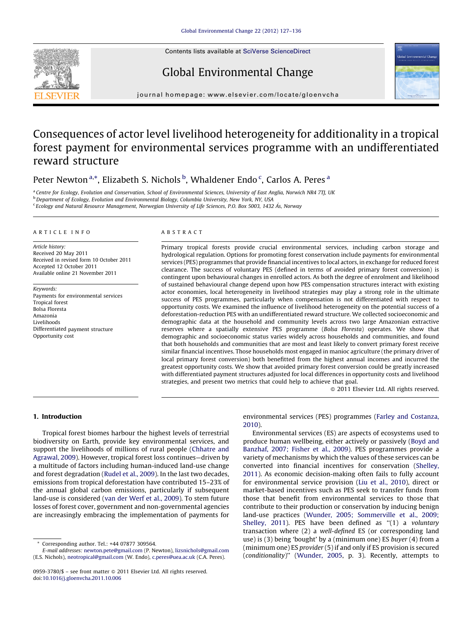Contents lists available at SciVerse [ScienceDirect](http://www.sciencedirect.com/science/journal/09593780)



Global Environmental Change

journal homepage: www.elsevier.com/locate/gloenvcha

# Consequences of actor level livelihood heterogeneity for additionality in a tropical forest payment for environmental services programme with an undifferentiated reward structure

Peter Newton<sup>a,\*</sup>, Elizabeth S. Nichols <sup>b</sup>, Whaldener Endo <sup>c</sup>, Carlos A. Peres <sup>a</sup>

a Centre for Ecology, Evolution and Conservation, School of Environmental Sciences, University of East Anglia, Norwich NR4 7TI, UK <sup>b</sup> Department of Ecology, Evolution and Environmental Biology, Columbia University, New York, NY, USA <sup>c</sup> Ecology and Natural Resource Management, Norwegian University of Life Sciences, P.O. Box 5003, 1432 A˚s, Norway

#### A R T I C L E I N F O

Article history: Received 20 May 2011 Received in revised form 10 October 2011 Accepted 12 October 2011 Available online 21 November 2011

Keywords: Payments for environmental services Tropical forest Bolsa Floresta Amazonia Livelihoods Differentiated payment structure Opportunity cost

## A B S T R A C T

Primary tropical forests provide crucial environmental services, including carbon storage and hydrological regulation. Options for promoting forest conservation include payments for environmental services (PES) programmes that provide financial incentives to local actors, in exchange for reduced forest clearance. The success of voluntary PES (defined in terms of avoided primary forest conversion) is contingent upon behavioural changes in enrolled actors. As both the degree of enrolment and likelihood of sustained behavioural change depend upon how PES compensation structures interact with existing actor economies, local heterogeneity in livelihood strategies may play a strong role in the ultimate success of PES programmes, particularly when compensation is not differentiated with respect to opportunity costs. We examined the influence of livelihood heterogeneity on the potential success of a deforestation-reduction PES with an undifferentiated reward structure. We collected socioeconomic and demographic data at the household and community levels across two large Amazonian extractive reserves where a spatially extensive PES programme (Bolsa Floresta) operates. We show that demographic and socioeconomic status varies widely across households and communities, and found that both households and communities that are most and least likely to convert primary forest receive similar financial incentives. Those households most engaged in manioc agriculture (the primary driver of local primary forest conversion) both benefitted from the highest annual incomes and incurred the greatest opportunity costs. We show that avoided primary forest conversion could be greatly increased with differentiated payment structures adjusted for local differences in opportunity costs and livelihood strategies, and present two metrics that could help to achieve that goal.

- 2011 Elsevier Ltd. All rights reserved.

#### 1. Introduction

Tropical forest biomes harbour the highest levels of terrestrial biodiversity on Earth, provide key environmental services, and support the livelihoods of millions of rural people ([Chhatre](#page-8-0) and [Agrawal,](#page-8-0) 2009). However, tropical forest loss continues—driven by a multitude of factors including human-induced land-use change and forest degradation [\(Rudel](#page-8-0) et al., 2009). In the last two decades, emissions from tropical deforestation have contributed 15–23% of the annual global carbon emissions, particularly if subsequent land-use is considered (van der [Werf](#page-8-0) et al., 2009). To stem future losses of forest cover, government and non-governmental agencies are increasingly embracing the implementation of payments for

E-mail addresses: [newton.pete@gmail.com](mailto:newton.pete@gmail.com) (P. Newton), [lizsnichols@gmail.com](mailto:lizsnichols@gmail.com) (E.S. Nichols), [neotropical@gmail.com](mailto:neotropical@gmail.com) (W. Endo), [c.peres@uea.ac.uk](mailto:c.peres@uea.ac.uk) (C.A. Peres).

environmental services (PES) programmes (Farley and [Costanza,](#page-8-0) [2010\)](#page-8-0).

Environmental services (ES) are aspects of ecosystems used to produce human wellbeing, either actively or passively ([Boyd](#page-8-0) and [Banzhaf,](#page-8-0) 2007; Fisher et al., 2009). PES programmes provide a variety of mechanisms by which the values of these services can be converted into financial incentives for conservation [\(Shelley,](#page-8-0) [2011\)](#page-8-0). As economic decision-making often fails to fully account for environmental service provision (Liu et al., [2010\)](#page-8-0), direct or market-based incentives such as PES seek to transfer funds from those that benefit from environmental services to those that contribute to their production or conservation by inducing benign land-use practices (Wunder, 2005; [Sommerville](#page-9-0) et al., 2009; [Shelley,](#page-9-0) 2011). PES have been defined as "(1) a voluntary transaction where (2) a well-defined ES (or corresponding land use) is (3) being 'bought' by a (minimum one) ES buyer (4) from a (minimum one) ES provider (5) if and only if ES provision is secured (conditionality)'' ([Wunder,](#page-9-0) 2005, p. 3). Recently, attempts to

Corresponding author. Tel.: +44 07877 309564.

<sup>0959-3780/\$ –</sup> see front matter © 2011 Elsevier Ltd. All rights reserved. doi:[10.1016/j.gloenvcha.2011.10.006](http://dx.doi.org/10.1016/j.gloenvcha.2011.10.006)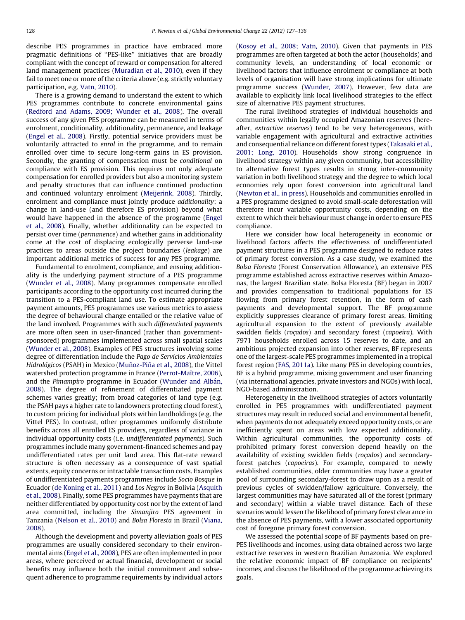describe PES programmes in practice have embraced more pragmatic definitions of ''PES-like'' initiatives that are broadly compliant with the concept of reward or compensation for altered land management practices ([Muradian](#page-8-0) et al., 2010), even if they fail to meet one or more of the criteria above (e.g. strictly voluntary participation, e.g. [Vatn,](#page-8-0) 2010).

There is a growing demand to understand the extent to which PES programmes contribute to concrete environmental gains (Redford and Adams, 2009; [Wunder](#page-8-0) et al., 2008). The overall success of any given PES programme can be measured in terms of enrolment, conditionality, additionality, permanence, and leakage ([Engel](#page-8-0) et al., 2008). Firstly, potential service providers must be voluntarily attracted to enrol in the programme, and to remain enrolled over time to secure long-term gains in ES provision. Secondly, the granting of compensation must be conditional on compliance with ES provision. This requires not only adequate compensation for enrolled providers but also a monitoring system and penalty structures that can influence continued production and continued voluntary enrolment ([Meijerink,](#page-8-0) 2008). Thirdly, enrolment and compliance must jointly produce additionality; a change in land-use (and therefore ES provision) beyond what would have happened in the absence of the programme ([Engel](#page-8-0) et al., [2008\)](#page-8-0). Finally, whether additionality can be expected to persist over time (permanence) and whether gains in additionality come at the cost of displacing ecologically perverse land-use practices to areas outside the project boundaries (leakage) are important additional metrics of success for any PES programme.

Fundamental to enrolment, compliance, and ensuing additionality is the underlying payment structure of a PES programme ([Wunder](#page-9-0) et al., 2008). Many programmes compensate enrolled participants according to the opportunity cost incurred during the transition to a PES-compliant land use. To estimate appropriate payment amounts, PES programmes use various metrics to assess the degree of behavioural change entailed or the relative value of the land involved. Programmes with such differentiated payments are more often seen in user-financed (rather than governmentsponsored) programmes implemented across small spatial scales ([Wunder](#page-9-0) et al., 2008). Examples of PES structures involving some degree of differentiation include the Pago de Servicios Ambientales Hidrológicos (PSAH) in Mexico (Muñoz-Piña et al., 2008), the Vittel watershed protection programme in France (Perrot-Maître, 2006), and the Pimampiro programme in Ecuador [\(Wunder](#page-9-0) and Albán, [2008\)](#page-9-0). The degree of refinement of differentiated payment schemes varies greatly; from broad categories of land type (e.g. the PSAH pays a higher rate to landowners protecting cloud forest), to custom pricing for individual plots within landholdings (e.g. the Vittel PES). In contrast, other programmes uniformly distribute benefits across all enrolled ES providers, regardless of variance in individual opportunity costs (i.e. undifferentiated payments). Such programmes include many government-financed schemes and pay undifferentiated rates per unit land area. This flat-rate reward structure is often necessary as a consequence of vast spatial extents, equity concerns or intractable transaction costs. Examples of undifferentiated payments programmes include Socio Bosque in Ecuador (de [Koning](#page-8-0) et al., 2011) and Los Negros in Bolivia [\(Asquith](#page-8-0) et al., [2008](#page-8-0)). Finally, some PES programmes have payments that are neither differentiated by opportunity cost nor by the extent of land area committed, including the Simanjiro PES agreement in Tanzania ([Nelson](#page-8-0) et al., 2010) and Bolsa Floresta in Brazil [\(Viana,](#page-9-0) [2008\)](#page-9-0).

Although the development and poverty alleviation goals of PES programmes are usually considered secondary to their environmental aims [\(Engel](#page-8-0) et al., 2008), PES are often implemented in poor areas, where perceived or actual financial, development or social benefits may influence both the initial commitment and subsequent adherence to programme requirements by individual actors ([Kosoy](#page-8-0) et al., 2008; Vatn, 2010). Given that payments in PES programmes are often targeted at both the actor (households) and community levels, an understanding of local economic or livelihood factors that influence enrolment or compliance at both levels of organisation will have strong implications for ultimate programme success ([Wunder,](#page-9-0) 2007). However, few data are available to explicitly link local livelihood strategies to the effect size of alternative PES payment structures.

The rural livelihood strategies of individual households and communities within legally occupied Amazonian reserves (hereafter, extractive reserves) tend to be very heterogeneous, with variable engagement with agricultural and extractive activities and consequential reliance on different forest types ([Takasaki](#page-8-0) et al., [2001;](#page-8-0) Long, 2010). Households show strong congruence in livelihood strategy within any given community, but accessibility to alternative forest types results in strong inter-community variation in both livelihood strategy and the degree to which local economies rely upon forest conversion into agricultural land ([Newton](#page-8-0) et al., in press). Households and communities enrolled in a PES programme designed to avoid small-scale deforestation will therefore incur variable opportunity costs, depending on the extent to which their behaviour must change in order to ensure PES compliance.

Here we consider how local heterogeneity in economic or livelihood factors affects the effectiveness of undifferentiated payment structures in a PES programme designed to reduce rates of primary forest conversion. As a case study, we examined the Bolsa Floresta (Forest Conservation Allowance), an extensive PES programme established across extractive reserves within Amazonas, the largest Brazilian state. Bolsa Floresta (BF) began in 2007 and provides compensation to traditional populations for ES flowing from primary forest retention, in the form of cash payments and developmental support. The BF programme explicitly suppresses clearance of primary forest areas, limiting agricultural expansion to the extent of previously available swidden fields (roçados) and secondary forest (capoeira). With 7971 households enrolled across 15 reserves to date, and an ambitious projected expansion into other reserves, BF represents one of the largest-scale PES programmes implemented in a tropical forest region (FAS, [2011a\)](#page-8-0). Like many PES in developing countries, BF is a hybrid programme, mixing government and user financing (via international agencies, private investors and NGOs) with local, NGO-based administration.

Heterogeneity in the livelihood strategies of actors voluntarily enrolled in PES programmes with undifferentiated payment structures may result in reduced social and environmental benefit, when payments do not adequately exceed opportunity costs, or are inefficiently spent on areas with low expected additionality. Within agricultural communities, the opportunity costs of prohibited primary forest conversion depend heavily on the availability of existing swidden fields (roçados) and secondaryforest patches (capoeiras). For example, compared to newly established communities, older communities may have a greater pool of surrounding secondary-forest to draw upon as a result of previous cycles of swidden/fallow agriculture. Conversely, the largest communities may have saturated all of the forest (primary and secondary) within a viable travel distance. Each of these scenarios would lessen the likelihood of primary forest clearance in the absence of PES payments, with a lower associated opportunity cost of foregone primary forest conversion.

We assessed the potential scope of BF payments based on pre-PES livelihoods and incomes, using data obtained across two large extractive reserves in western Brazilian Amazonia. We explored the relative economic impact of BF compliance on recipients' incomes, and discuss the likelihood of the programme achieving its goals.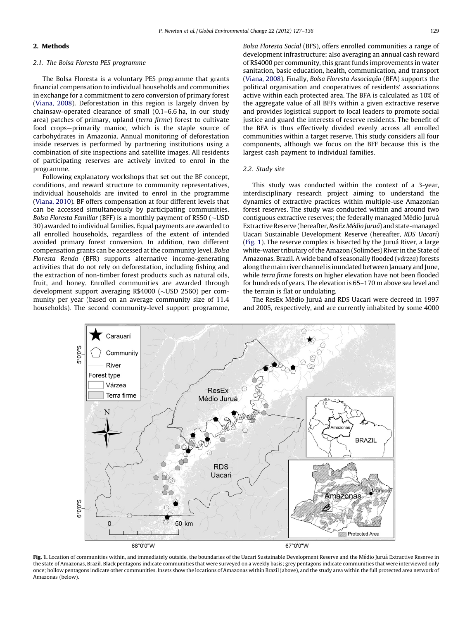## <span id="page-2-0"></span>2. Methods

#### 2.1. The Bolsa Floresta PES programme

The Bolsa Floresta is a voluntary PES programme that grants financial compensation to individual households and communities in exchange for a commitment to zero conversion of primary forest ([Viana,](#page-9-0) 2008). Deforestation in this region is largely driven by chainsaw-operated clearance of small (0.1–6.6 ha, in our study area) patches of primary, upland (terra firme) forest to cultivate food crops—primarily manioc, which is the staple source of carbohydrates in Amazonia. Annual monitoring of deforestation inside reserves is performed by partnering institutions using a combination of site inspections and satellite images. All residents of participating reserves are actively invited to enrol in the programme.

Following explanatory workshops that set out the BF concept, conditions, and reward structure to community representatives, individual households are invited to enrol in the programme ([Viana,](#page-9-0) 2010). BF offers compensation at four different levels that can be accessed simultaneously by participating communities. *Bolsa Floresta Familiar* (BFF) is a monthly payment of R\$50 ( $\sim$ USD 30) awarded to individual families. Equal payments are awarded to all enrolled households, regardless of the extent of intended avoided primary forest conversion. In addition, two different compensation grants can be accessed at the community level. Bolsa Floresta Renda (BFR) supports alternative income-generating activities that do not rely on deforestation, including fishing and the extraction of non-timber forest products such as natural oils, fruit, and honey. Enrolled communities are awarded through development support averaging R\$4000 (~USD 2560) per community per year (based on an average community size of 11.4 households). The second community-level support programme, Bolsa Floresta Social (BFS), offers enrolled communities a range of development infrastructure; also averaging an annual cash reward of R\$4000 per community, this grant funds improvements in water sanitation, basic education, health, communication, and transport ([Viana,](#page-9-0) 2008). Finally, Bolsa Floresta Associação (BFA) supports the political organisation and cooperatives of residents' associations active within each protected area. The BFA is calculated as 10% of the aggregate value of all BFFs within a given extractive reserve and provides logistical support to local leaders to promote social justice and guard the interests of reserve residents. The benefit of the BFA is thus effectively divided evenly across all enrolled communities within a target reserve. This study considers all four components, although we focus on the BFF because this is the largest cash payment to individual families.

#### 2.2. Study site

This study was conducted within the context of a 3-year, interdisciplinary research project aiming to understand the dynamics of extractive practices within multiple-use Amazonian forest reserves. The study was conducted within and around two contiguous extractive reserves; the federally managed Médio Juruá Extractive Reserve (hereafter, ResEx Médio Juruá) and state-managed Uacari Sustainable Development Reserve (hereafter, RDS Uacari) (Fig. 1). The reserve complex is bisected by the Juruá River, a large white-water tributary of the Amazon (Solimões) River in the State of Amazonas, Brazil. A wide band of seasonally flooded (várzea) forests along the main river channel is inundated between January and June, while terra firme forests on higher elevation have not been flooded for hundreds of years. The elevation is 65–170 m above sea level and the terrain is flat or undulating.

The ResEx Médio Juruá and RDS Uacari were decreed in 1997 and 2005, respectively, and are currently inhabited by some 4000



Fig. 1. Location of communities within, and immediately outside, the boundaries of the Uacari Sustainable Development Reserve and the Médio Juruá Extractive Reserve in the state of Amazonas, Brazil. Black pentagons indicate communities that were surveyed on a weekly basis; grey pentagons indicate communities that were interviewed only once; hollow pentagons indicate other communities. Insets show the locations of Amazonas within Brazil(above), and the study area within the full protected area network of Amazonas (below).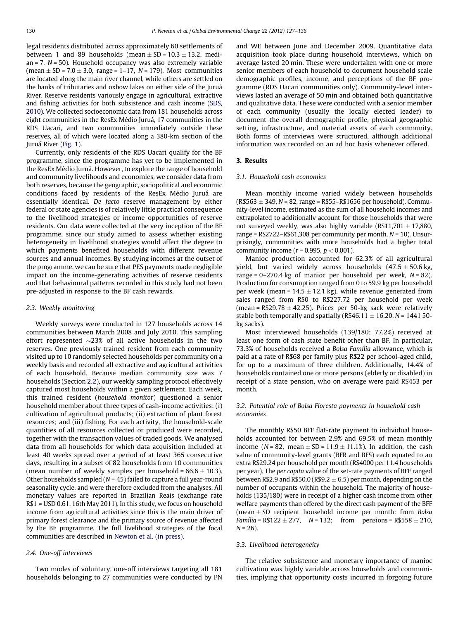legal residents distributed across approximately 60 settlements of between 1 and 89 households (mean  $\pm$  SD = 10.3  $\pm$  13.2, median = 7,  $N$  = 50). Household occupancy was also extremely variable (mean  $\pm$  SD = 7.0  $\pm$  3.0, range = 1–17, N = 179). Most communities are located along the main river channel, while others are settled on the banks of tributaries and oxbow lakes on either side of the Jurua´ River. Reserve residents variously engage in agricultural, extractive and fishing activities for both subsistence and cash income ([SDS,](#page-8-0) [2010](#page-8-0)). We collected socioeconomic data from 181 households across eight communities in the ResEx Médio Juruá, 17 communities in the RDS Uacari, and two communities immediately outside these reserves, all of which were located along a 380-km section of the Juruá River [\(Fig.](#page-2-0) 1).

Currently, only residents of the RDS Uacari qualify for the BF programme, since the programme has yet to be implemented in the ResEx Médio Juruá. However, to explore the range of household and community livelihoods and economies, we consider data from both reserves, because the geographic, sociopolitical and economic conditions faced by residents of the ResEx Médio Juruá are essentially identical. De facto reserve management by either federal or state agencies is of relatively little practical consequence to the livelihood strategies or income opportunities of reserve residents. Our data were collected at the very inception of the BF programme, since our study aimed to assess whether existing heterogeneity in livelihood strategies would affect the degree to which payments benefited households with different revenue sources and annual incomes. By studying incomes at the outset of the programme, we can be sure that PES payments made negligible impact on the income-generating activities of reserve residents and that behavioural patterns recorded in this study had not been pre-adjusted in response to the BF cash rewards.

### 2.3. Weekly monitoring

Weekly surveys were conducted in 127 households across 14 communities between March 2008 and July 2010. This sampling effort represented  ${\sim}23\%$  of all active households in the two reserves. One previously trained resident from each community visited up to 10 randomly selected households per community on a weekly basis and recorded all extractive and agricultural activities of each household. Because median community size was 7 households (Section [2.2\)](#page-2-0), our weekly sampling protocol effectively captured most households within a given settlement. Each week, this trained resident (household monitor) questioned a senior household member about three types of cash-income activities: (i) cultivation of agricultural products; (ii) extraction of plant forest resources; and (iii) fishing. For each activity, the household-scale quantities of all resources collected or produced were recorded, together with the transaction values of traded goods. We analysed data from all households for which data acquisition included at least 40 weeks spread over a period of at least 365 consecutive days, resulting in a subset of 82 households from 10 communities (mean number of weekly samples per household =  $66.6 \pm 10.3$ ). Other households sampled ( $N = 45$ ) failed to capture a full year-round seasonality cycle, and were therefore excluded from the analyses. All monetary values are reported in Brazilian Reais (exchange rate R\$1 = USD 0.61, 16th May 2011). In this study, we focus on household income from agricultural activities since this is the main driver of primary forest clearance and the primary source of revenue affected by the BF programme. The full livelihood strategies of the focal communities are described in [Newton](#page-8-0) et al. (in press).

## 2.4. One-off interviews

Two modes of voluntary, one-off interviews targeting all 181 households belonging to 27 communities were conducted by PN and WE between June and December 2009. Quantitative data acquisition took place during household interviews, which on average lasted 20 min. These were undertaken with one or more senior members of each household to document household scale demographic profiles, income, and perceptions of the BF programme (RDS Uacari communities only). Community-level interviews lasted an average of 50 min and obtained both quantitative and qualitative data. These were conducted with a senior member of each community (usually the locally elected leader) to document the overall demographic profile, physical geographic setting, infrastructure, and material assets of each community. Both forms of interviews were structured, although additional information was recorded on an ad hoc basis whenever offered.

#### 3. Results

#### 3.1. Household cash economies

Mean monthly income varied widely between households  $(R$563 \pm 349, N = 82$ , range = R\$55–R\$1656 per household). Community-level income, estimated as the sum of all household incomes and extrapolated to additionally account for those households that were not surveyed weekly, was also highly variable (R\$11,701  $\pm$  17,880, range = R\$2722–R\$61,308 per community per month,  $N = 10$ ). Unsurprisingly, communities with more households had a higher total community income ( $r = 0.995$ ,  $p < 0.001$ ).

Manioc production accounted for 62.3% of all agricultural yield, but varied widely across households  $(47.5 \pm 50.6 \text{ kg})$ , range =  $0-270.4$  kg of manioc per household per week,  $N = 82$ ). Production for consumption ranged from 0 to 59.9 kg per household per week (mean =  $14.5 \pm 12.1$  kg), while revenue generated from sales ranged from R\$0 to R\$227.72 per household per week (mean = R\$29.78  $\pm$  42.25). Prices per 50-kg sack were relatively stable both temporally and spatially (R\$46.11  $\pm$  16.20, N = 1441 50kg sacks).

Most interviewed households (139/180; 77.2%) received at least one form of cash state benefit other than BF. In particular, 73.3% of households received a Bolsa Família allowance, which is paid at a rate of R\$68 per family plus R\$22 per school-aged child, for up to a maximum of three children. Additionally, 14.4% of households contained one or more persons (elderly or disabled) in receipt of a state pension, who on average were paid R\$453 per month.

## 3.2. Potential role of Bolsa Floresta payments in household cash economies

The monthly R\$50 BFF flat-rate payment to individual households accounted for between 2.9% and 69.5% of mean monthly income ( $N = 82$ , mean  $\pm SD = 11.9 \pm 11.1\%$ ). In addition, the cash value of community-level grants (BFR and BFS) each equated to an extra R\$29.24 per household per month (R\$4000 per 11.4 households per year). The per capita value of the set-rate payments of BFF ranged between R\$2.9 and R\$50.0 (R\$9.2  $\pm$  6.5) per month, depending on the number of occupants within the household. The majority of households (135/180) were in receipt of a higher cash income from other welfare payments than offered by the direct cash payment of the BFF (mean  $\pm$  SD recipient household income per month: from Bolsa Família = R\$122  $\pm$  277, N = 132; from pensions = R\$558  $\pm$  210,  $N = 26$ ).

## 3.3. Livelihood heterogeneity

The relative subsistence and monetary importance of manioc cultivation was highly variable across households and communities, implying that opportunity costs incurred in forgoing future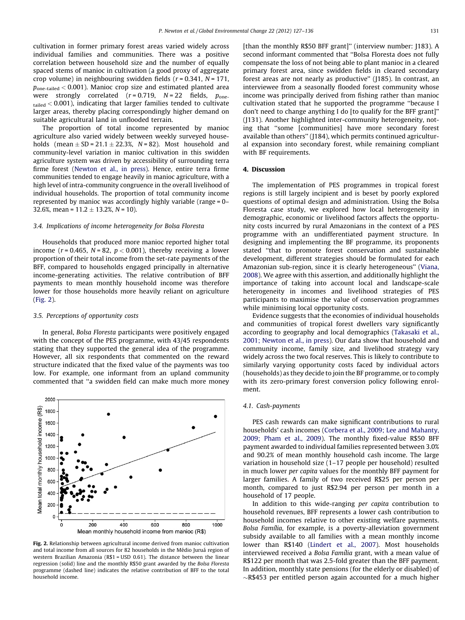cultivation in former primary forest areas varied widely across individual families and communities. There was a positive correlation between household size and the number of equally spaced stems of manioc in cultivation (a good proxy of aggregate crop volume) in neighbouring swidden fields ( $r = 0.341$ ,  $N = 171$ ,  $p_{one-tailed}$  < 0.001). Manioc crop size and estimated planted area were strongly correlated  $(r = 0.719, N = 22$  fields,  $p_{one}$ .  $t_{\text{ailed}}$  < 0.001), indicating that larger families tended to cultivate larger areas, thereby placing correspondingly higher demand on suitable agricultural land in unflooded terrain.

The proportion of total income represented by manioc agriculture also varied widely between weekly surveyed households (mean  $\pm$  SD = 21.1  $\pm$  22.3%, N = 82). Most household and community-level variation in manioc cultivation in this swidden agriculture system was driven by accessibility of surrounding terra firme forest [\(Newton](#page-8-0) et al., in press). Hence, entire terra firme communities tended to engage heavily in manioc agriculture, with a high level of intra-community congruence in the overall livelihood of individual households. The proportion of total community income represented by manioc was accordingly highly variable (range = 0– 32.6%, mean =  $11.2 \pm 13.2$ %, N = 10).

# 3.4. Implications of income heterogeneity for Bolsa Floresta

Households that produced more manioc reported higher total income ( $r = 0.465$ ,  $N = 82$ ,  $p < 0.001$ ), thereby receiving a lower proportion of their total income from the set-rate payments of the BFF, compared to households engaged principally in alternative income-generating activities. The relative contribution of BFF payments to mean monthly household income was therefore lower for those households more heavily reliant on agriculture (Fig. 2).

## 3.5. Perceptions of opportunity costs

In general, Bolsa Floresta participants were positively engaged with the concept of the PES programme, with 43/45 respondents stating that they supported the general idea of the programme. However, all six respondents that commented on the reward structure indicated that the fixed value of the payments was too low. For example, one informant from an upland community commented that ''a swidden field can make much more money



Fig. 2. Relationship between agricultural income derived from manioc cultivation and total income from all sources for 82 households in the Médio Juruá region of western Brazilian Amazonia (R\$1 = USD 0.61). The distance between the linear regression (solid) line and the monthly R\$50 grant awarded by the Bolsa Floresta programme (dashed line) indicates the relative contribution of BFF to the total household income.

[than the monthly R\$50 BFF grant]" (interview number: J183). A second informant commented that ''Bolsa Floresta does not fully compensate the loss of not being able to plant manioc in a cleared primary forest area, since swidden fields in cleared secondary forest areas are not nearly as productive'' (J185). In contrast, an interviewee from a seasonally flooded forest community whose income was principally derived from fishing rather than manioc cultivation stated that he supported the programme ''because I don't need to change anything I do [to qualify for the BFF grant]'' (J131). Another highlighted inter-community heterogeneity, noting that ''some [communities] have more secondary forest available than others'' (J184), which permits continued agricultural expansion into secondary forest, while remaining compliant with BF requirements.

### 4. Discussion

The implementation of PES programmes in tropical forest regions is still largely incipient and is beset by poorly explored questions of optimal design and administration. Using the Bolsa Floresta case study, we explored how local heterogeneity in demographic, economic or livelihood factors affects the opportunity costs incurred by rural Amazonians in the context of a PES programme with an undifferentiated payment structure. In designing and implementing the BF programme, its proponents stated ''that to promote forest conservation and sustainable development, different strategies should be formulated for each Amazonian sub-region, since it is clearly heterogeneous'' [\(Viana,](#page-9-0) [2008\)](#page-9-0). We agree with this assertion, and additionally highlight the importance of taking into account local and landscape-scale heterogeneity in incomes and livelihood strategies of PES participants to maximise the value of conservation programmes while minimising local opportunity costs.

Evidence suggests that the economies of individual households and communities of tropical forest dwellers vary significantly according to geography and local demographics [\(Takasaki](#page-8-0) et al., 2001; [Newton](#page-8-0) et al., in press). Our data show that household and community income, family size, and livelihood strategy vary widely across the two focal reserves. This is likely to contribute to similarly varying opportunity costs faced by individual actors (households) as they decide to join the BF programme, or to comply with its zero-primary forest conversion policy following enrolment.

#### 4.1. Cash-payments

PES cash rewards can make significant contributions to rural households' cash incomes (Corbera et al., 2009; Lee and [Mahanty,](#page-8-0) 2009; [Pham](#page-8-0) et al., 2009). The monthly fixed-value R\$50 BFF payment awarded to individual families represented between 3.0% and 90.2% of mean monthly household cash income. The large variation in household size (1–17 people per household) resulted in much lower per capita values for the monthly BFF payment for larger families. A family of two received R\$25 per person per month, compared to just R\$2.94 per person per month in a household of 17 people.

In addition to this wide-ranging per capita contribution to household revenues, BFF represents a lower cash contribution to household incomes relative to other existing welfare payments. Bolsa Família, for example, is a poverty-alleviation government subsidy available to all families with a mean monthly income lower than R\$140 [\(Lindert](#page-8-0) et al., 2007). Most households interviewed received a Bolsa Família grant, with a mean value of R\$122 per month that was 2.5-fold greater than the BFF payment. In addition, monthly state pensions (for the elderly or disabled) of  $\sim$ R\$453 per entitled person again accounted for a much higher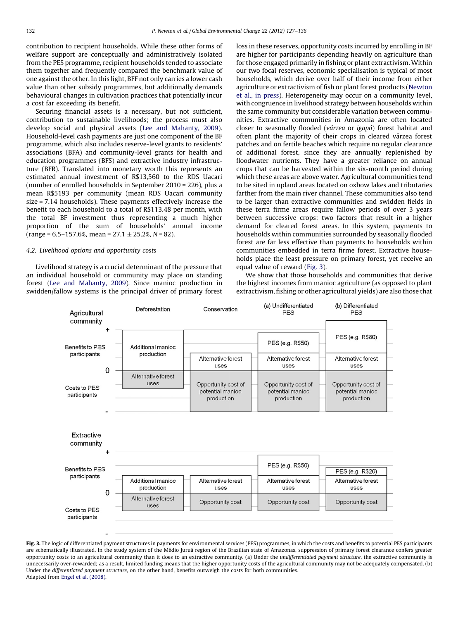<span id="page-5-0"></span>contribution to recipient households. While these other forms of welfare support are conceptually and administratively isolated from the PES programme, recipient households tended to associate them together and frequently compared the benchmark value of one against the other. In this light, BFF not only carries a lower cash value than other subsidy programmes, but additionally demands behavioural changes in cultivation practices that potentially incur a cost far exceeding its benefit.

Securing financial assets is a necessary, but not sufficient, contribution to sustainable livelihoods; the process must also develop social and physical assets (Lee and [Mahanty,](#page-8-0) 2009). Household-level cash payments are just one component of the BF programme, which also includes reserve-level grants to residents' associations (BFA) and community-level grants for health and education programmes (BFS) and extractive industry infrastructure (BFR). Translated into monetary worth this represents an estimated annual investment of R\$13,560 to the RDS Uacari (number of enrolled households in September 2010 = 226), plus a mean R\$5193 per community (mean RDS Uacari community size = 7.14 households). These payments effectively increase the benefit to each household to a total of R\$113.48 per month, with the total BF investment thus representing a much higher proportion of the sum of households' annual income  $(range = 6.5-157.6\%, mean = 27.1 \pm 25.2\%, N = 82).$ 

## 4.2. Livelihood options and opportunity costs

Livelihood strategy is a crucial determinant of the pressure that an individual household or community may place on standing forest (Lee and [Mahanty,](#page-8-0) 2009). Since manioc production in swidden/fallow systems is the principal driver of primary forest

loss in these reserves, opportunity costs incurred by enrolling in BF are higher for participants depending heavily on agriculture than for those engaged primarily in fishing or plant extractivism. Within our two focal reserves, economic specialisation is typical of most households, which derive over half of their income from either agriculture or extractivism of fish or plant forest products ([Newton](#page-8-0) et al., in [press\)](#page-8-0). Heterogeneity may occur on a community level, with congruence in livelihood strategy between households within the same community but considerable variation between communities. Extractive communities in Amazonia are often located closer to seasonally flooded (várzea or igapó) forest habitat and often plant the majority of their crops in cleared várzea forest patches and on fertile beaches which require no regular clearance of additional forest, since they are annually replenished by floodwater nutrients. They have a greater reliance on annual crops that can be harvested within the six-month period during which these areas are above water. Agricultural communities tend to be sited in upland areas located on oxbow lakes and tributaries farther from the main river channel. These communities also tend to be larger than extractive communities and swidden fields in these terra firme areas require fallow periods of over 3 years between successive crops; two factors that result in a higher demand for cleared forest areas. In this system, payments to households within communities surrounded by seasonally flooded forest are far less effective than payments to households within communities embedded in terra firme forest. Extractive households place the least pressure on primary forest, yet receive an equal value of reward (Fig. 3).

We show that those households and communities that derive the highest incomes from manioc agriculture (as opposed to plant extractivism, fishing or other agricultural yields) are also those that



Fig. 3. The logic of differentiated payment structures in payments for environmental services (PES) programmes, in which the costs and benefits to potential PES participants are schematically illustrated. In the study system of the Médio Juruá region of the Brazilian state of Amazonas, suppression of primary forest clearance confers greater opportunity costs to an agricultural community than it does to an extractive community. (a) Under the undifferentiated payment structure, the extractive community is unnecessarily over-rewarded; as a result, limited funding means that the higher opportunity costs of the agricultural community may not be adequately compensated. (b) Under the differentiated payment structure, on the other hand, benefits outweigh the costs for both communities. Adapted from Engel et al. [\(2008\)](#page-8-0).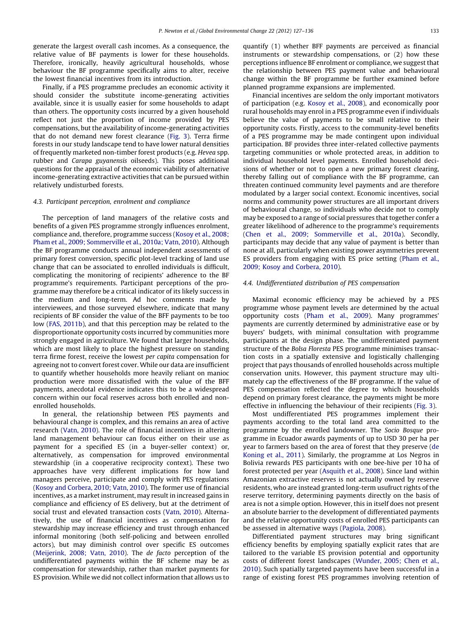generate the largest overall cash incomes. As a consequence, the relative value of BF payments is lower for these households. Therefore, ironically, heavily agricultural households, whose behaviour the BF programme specifically aims to alter, receive the lowest financial incentives from its introduction.

Finally, if a PES programme precludes an economic activity it should consider the substitute income-generating activities available, since it is usually easier for some households to adapt than others. The opportunity costs incurred by a given household reflect not just the proportion of income provided by PES compensations, but the availability of income-generating activities that do not demand new forest clearance ([Fig.](#page-5-0) 3). Terra firme forests in our study landscape tend to have lower natural densities of frequently marketed non-timber forest products (e.g. Hevea spp. rubber and Carapa guyanensis oilseeds). This poses additional questions for the appraisal of the economic viability of alternative income-generating extractive activities that can be pursued within relatively undisturbed forests.

## 4.3. Participant perception, enrolment and compliance

The perception of land managers of the relative costs and benefits of a given PES programme strongly influences enrolment, compliance and, therefore, programme success ([Kosoy](#page-8-0) et al., 2008; Pham et al., 2009; [Sommerville](#page-8-0) et al., 2010a; Vatn, 2010). Although the BF programme conducts annual independent assessments of primary forest conversion, specific plot-level tracking of land use change that can be associated to enrolled individuals is difficult, complicating the monitoring of recipients' adherence to the BF programme's requirements. Participant perceptions of the programme may therefore be a critical indicator of its likely success in the medium and long-term. Ad hoc comments made by interviewees, and those surveyed elsewhere, indicate that many recipients of BF consider the value of the BFF payments to be too low (FAS, [2011b](#page-8-0)), and that this perception may be related to the disproportionate opportunity costs incurred by communities more strongly engaged in agriculture. We found that larger households, which are most likely to place the highest pressure on standing terra firme forest, receive the lowest per capita compensation for agreeing not to convert forest cover. While our data are insufficient to quantify whether households more heavily reliant on manioc production were more dissatisfied with the value of the BFF payments, anecdotal evidence indicates this to be a widespread concern within our focal reserves across both enrolled and nonenrolled households.

In general, the relationship between PES payments and behavioural change is complex, and this remains an area of active research ([Vatn,](#page-8-0) 2010). The role of financial incentives in altering land management behaviour can focus either on their use as payment for a specified ES (in a buyer-seller context) or, alternatively, as compensation for improved environmental stewardship (in a cooperative reciprocity context). These two approaches have very different implications for how land managers perceive, participate and comply with PES regulations (Kosoy and [Corbera,](#page-8-0) 2010; Vatn, 2010). The former use of financial incentives, as a market instrument, may result in increased gains in compliance and efficiency of ES delivery, but at the detriment of social trust and elevated transaction costs [\(Vatn,](#page-8-0) 2010). Alternatively, the use of financial incentives as compensation for stewardship may increase efficiency and trust through enhanced informal monitoring (both self-policing and between enrolled actors), but may diminish control over specific ES outcomes ([Meijerink,](#page-8-0) 2008; Vatn, 2010). The de facto perception of the undifferentiated payments within the BF scheme may be as compensation for stewardship, rather than market payments for ES provision. While we did not collect information that allows us to quantify (1) whether BFF payments are perceived as financial instruments or stewardship compensations, or (2) how these perceptions influence BF enrolment or compliance, we suggest that the relationship between PES payment value and behavioural change within the BF programme be further examined before planned programme expansions are implemented.

Financial incentives are seldom the only important motivators of participation (e.g. [Kosoy](#page-8-0) et al., 2008), and economically poor rural households may enrol in a PES programme even if individuals believe the value of payments to be small relative to their opportunity costs. Firstly, access to the community-level benefits of a PES programme may be made contingent upon individual participation. BF provides three inter-related collective payments targeting communities or whole protected areas, in addition to individual household level payments. Enrolled household decisions of whether or not to open a new primary forest clearing, thereby falling out of compliance with the BF programme, can threaten continued community level payments and are therefore modulated by a larger social context. Economic incentives, social norms and community power structures are all important drivers of behavioural change, so individuals who decide not to comply may be exposed to a range of social pressures that together confer a greater likelihood of adherence to the programme's requirements (Chen et al., 2009; [Sommerville](#page-8-0) et al., 2010a). Secondly, participants may decide that any value of payment is better than none at all, particularly when existing power asymmetries prevent ES providers from engaging with ES price setting [\(Pham](#page-8-0) et al., 2009; Kosoy and [Corbera,](#page-8-0) 2010).

#### 4.4. Undifferentiated distribution of PES compensation

Maximal economic efficiency may be achieved by a PES programme whose payment levels are determined by the actual opportunity costs ([Pham](#page-8-0) et al., 2009). Many programmes' payments are currently determined by administrative ease or by buyers' budgets, with minimal consultation with programme participants at the design phase. The undifferentiated payment structure of the Bolsa Floresta PES programme minimises transaction costs in a spatially extensive and logistically challenging project that pays thousands of enrolled households across multiple conservation units. However, this payment structure may ultimately cap the effectiveness of the BF programme. If the value of PES compensation reflected the degree to which households depend on primary forest clearance, the payments might be more effective in influencing the behaviour of their recipients ([Fig.](#page-5-0) 3).

Most undifferentiated PES programmes implement their payments according to the total land area committed to the programme by the enrolled landowner. The Socio Bosque programme in Ecuador awards payments of up to USD 30 per ha per year to farmers based on the area of forest that they preserve [\(de](#page-8-0) [Koning](#page-8-0) et al., 2011). Similarly, the programme at Los Negros in Bolivia rewards PES participants with one bee-hive per 10 ha of forest protected per year ([Asquith](#page-8-0) et al., 2008). Since land within Amazonian extractive reserves is not actually owned by reserve residents, who are instead granted long-term usufruct rights of the reserve territory, determining payments directly on the basis of area is not a simple option. However, this in itself does not present an absolute barrier to the development of differentiated payments and the relative opportunity costs of enrolled PES participants can be assessed in alternative ways ([Pagiola,](#page-8-0) 2008).

Differentiated payment structures may bring significant efficiency benefits by employing spatially explicit rates that are tailored to the variable ES provision potential and opportunity costs of different forest landscapes ([Wunder,](#page-9-0) 2005; Chen et al., [2010\)](#page-9-0). Such spatially targeted payments have been successful in a range of existing forest PES programmes involving retention of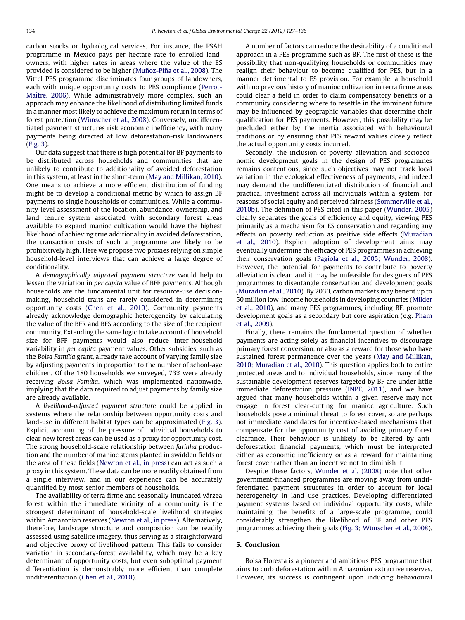carbon stocks or hydrological services. For instance, the PSAH programme in Mexico pays per hectare rate to enrolled landowners, with higher rates in areas where the value of the ES provided is considered to be higher (Muñoz-Piña et al., 2008). The Vittel PES programme discriminates four groups of landowners, each with unique opportunity costs to PES compliance ([Perrot-](#page-8-0)Maître, 2006). While administratively more complex, such an approach may enhance the likelihood of distributing limited funds in a manner most likely to achieve the maximum return in terms of forest protection (Wünscher et al., 2008). Conversely, undifferentiated payment structures risk economic inefficiency, with many payments being directed at low deforestation-risk landowners ([Fig.](#page-5-0) 3).

Our data suggest that there is high potential for BF payments to be distributed across households and communities that are unlikely to contribute to additionality of avoided deforestation in this system, at least in the short-term (May and [Millikan,](#page-8-0) 2010). One means to achieve a more efficient distribution of funding might be to develop a conditional metric by which to assign BF payments to single households or communities. While a community-level assessment of the location, abundance, ownership, and land tenure system associated with secondary forest areas available to expand manioc cultivation would have the highest likelihood of achieving true additionality in avoided deforestation, the transaction costs of such a programme are likely to be prohibitively high. Here we propose two proxies relying on simple household-level interviews that can achieve a large degree of conditionality.

A demographically adjusted payment structure would help to lessen the variation in per capita value of BFF payments. Although households are the fundamental unit for resource-use decisionmaking, household traits are rarely considered in determining opportunity costs (Chen et al., [2010\)](#page-8-0). Community payments already acknowledge demographic heterogeneity by calculating the value of the BFR and BFS according to the size of the recipient community. Extending the same logic to take account of household size for BFF payments would also reduce inter-household variability in per capita payment values. Other subsidies, such as the Bolsa Família grant, already take account of varying family size by adjusting payments in proportion to the number of school-age children. Of the 180 households we surveyed, 73% were already receiving Bolsa Família, which was implemented nationwide, implying that the data required to adjust payments by family size are already available.

A livelihood-adjusted payment structure could be applied in systems where the relationship between opportunity costs and land-use in different habitat types can be approximated ([Fig.](#page-5-0) 3). Explicit accounting of the pressure of individual households to clear new forest areas can be used as a proxy for opportunity cost. The strong household-scale relationship between farinha production and the number of manioc stems planted in swidden fields or the area of these fields [\(Newton](#page-8-0) et al., in press) can act as such a proxy in this system. These data can be more readily obtained from a single interview, and in our experience can be accurately quantified by most senior members of households.

The availability of terra firme and seasonally inundated várzea forest within the immediate vicinity of a community is the strongest determinant of household-scale livelihood strategies within Amazonian reserves ([Newton](#page-8-0) et al., in press). Alternatively, therefore, landscape structure and composition can be readily assessed using satellite imagery, thus serving as a straightforward and objective proxy of livelihood pattern. This fails to consider variation in secondary-forest availability, which may be a key determinant of opportunity costs, but even suboptimal payment differentiation is demonstrably more efficient than complete undifferentiation (Chen et al., [2010\)](#page-8-0).

A number of factors can reduce the desirability of a conditional approach in a PES programme such as BF. The first of these is the possibility that non-qualifying households or communities may realign their behaviour to become qualified for PES, but in a manner detrimental to ES provision. For example, a household with no previous history of manioc cultivation in terra firme areas could clear a field in order to claim compensatory benefits or a community considering where to resettle in the imminent future may be influenced by geographic variables that determine their qualification for PES payments. However, this possibility may be precluded either by the inertia associated with behavioural traditions or by ensuring that PES reward values closely reflect the actual opportunity costs incurred.

Secondly, the inclusion of poverty alleviation and socioeconomic development goals in the design of PES programmes remains contentious, since such objectives may not track local variation in the ecological effectiveness of payments, and indeed may demand the undifferentiated distribution of financial and practical investment across all individuals within a system, for reasons of social equity and perceived fairness [\(Sommerville](#page-8-0) et al., [2010b\)](#page-8-0). The definition of PES cited in this paper ([Wunder,](#page-9-0) 2005) clearly separates the goals of efficiency and equity, viewing PES primarily as a mechanism for ES conservation and regarding any effects on poverty reduction as positive side effects ([Muradian](#page-8-0) et al., [2010](#page-8-0)). Explicit adoption of development aims may eventually undermine the efficacy of PES programmes in achieving their conservation goals (Pagiola et al., 2005; [Wunder,](#page-8-0) 2008). However, the potential for payments to contribute to poverty alleviation is clear, and it may be unfeasible for designers of PES programmes to disentangle conservation and development goals ([Muradian](#page-8-0) et al., 2010). By 2030, carbon markets may benefit up to 50 million low-income households in developing countries [\(Milder](#page-8-0) et al., [2010\)](#page-8-0), and many PES programmes, including BF, promote development goals as a secondary but core aspiration (e.g. [Pham](#page-8-0) et al., [2009](#page-8-0)).

Finally, there remains the fundamental question of whether payments are acting solely as financial incentives to discourage primary forest conversion, or also as a reward for those who have sustained forest permanence over the years (May and [Millikan,](#page-8-0) 2010; [Muradian](#page-8-0) et al., 2010). This question applies both to entire protected areas and to individual households, since many of the sustainable development reserves targeted by BF are under little immediate deforestation pressure ([INPE,](#page-8-0) 2011), and we have argued that many households within a given reserve may not engage in forest clear-cutting for manioc agriculture. Such households pose a minimal threat to forest cover, so are perhaps not immediate candidates for incentive-based mechanisms that compensate for the opportunity cost of avoiding primary forest clearance. Their behaviour is unlikely to be altered by antideforestation financial payments, which must be interpreted either as economic inefficiency or as a reward for maintaining forest cover rather than an incentive not to diminish it.

Despite these factors, [Wunder](#page-9-0) et al. (2008) note that other government-financed programmes are moving away from undifferentiated payment structures in order to account for local heterogeneity in land use practices. Developing differentiated payment systems based on individual opportunity costs, while maintaining the benefits of a large-scale programme, could considerably strengthen the likelihood of BF and other PES programmes achieving their goals ([Fig.](#page-5-0) 3; Wünscher et al., 2008).

## 5. Conclusion

Bolsa Floresta is a pioneer and ambitious PES programme that aims to curb deforestation within Amazonian extractive reserves. However, its success is contingent upon inducing behavioural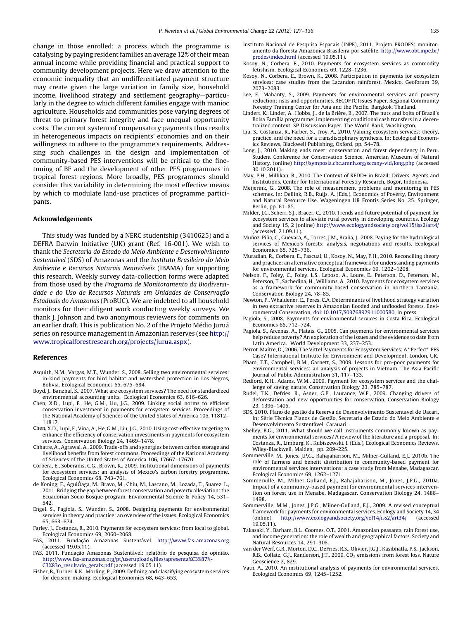<span id="page-8-0"></span>change in those enrolled; a process which the programme is catalysing by paying resident families an average 12% of their mean annual income while providing financial and practical support to community development projects. Here we draw attention to the economic inequality that an undifferentiated payment structure may create given the large variation in family size, household income, livelihood strategy and settlement geography—particularly in the degree to which different families engage with manioc agriculture. Households and communities pose varying degrees of threat to primary forest integrity and face unequal opportunity costs. The current system of compensatory payments thus results in heterogeneous impacts on recipients' economies and on their willingness to adhere to the programme's requirements. Addressing such challenges in the design and implementation of community-based PES interventions will be critical to the finetuning of BF and the development of other PES programmes in tropical forest regions. More broadly, PES programmes should consider this variability in determining the most effective means by which to modulate land-use practices of programme participants.

### Acknowledgements

This study was funded by a NERC studentship (3410625) and a DEFRA Darwin Initiative (UK) grant (Ref. 16-001). We wish to thank the Secretaria do Estado do Meio Ambiente e Desenvolvimento Sustentável (SDS) of Amazonas and the Instituto Brasileiro do Meio Ambiente e Recursos Naturais Renováveis (IBAMA) for supporting this research. Weekly survey data-collection forms were adapted from those used by the Programa de Monitoramento da Biodiversidade e do Uso de Recursos Naturais em Unidades de Conservação Estaduais do Amazonas (ProBUC). We are indebted to all household monitors for their diligent work conducting weekly surveys. We thank J. Johnson and two anonymous reviewers for comments on an earlier draft. This is publication No. 2 of the Projeto Médio Juruá series on resource management in Amazonian reserves (see [http://](http://www.tropicalforestresearch.org/projects/jurua.aspx) [www.tropicalforestresearch.org/projects/jurua.aspx\)](http://www.tropicalforestresearch.org/projects/jurua.aspx).

#### References

- Asquith, N.M., Vargas, M.T., Wunder, S., 2008. Selling two environmental services: in-kind payments for bird habitat and watershed protection in Los Negros, Bolivia. Ecological Economics 65, 675–684.
- Boyd, J., Banzhaf, S., 2007. What are ecosystem services? The need for standardized environmental accounting units. Ecological Economics 63, 616–626.
- Chen, X.D., Lupi, F., He, G.M., Liu, J.G., 2009. Linking social norms to efficient conservation investment in payments for ecosystem services. Proceedings of the National Academy of Sciences of the United States of America 106, 11812– 11817.
- Chen, X.D., Lupi, F., Vina, A., He, G.M., Liu, J.G., 2010. Using cost-effective targeting to enhance the efficiency of conservation investments in payments for ecosystem services. Conservation Biology 24, 1469–1478.
- Chhatre, A., Agrawal, A., 2009. Trade-offs and synergies between carbon storage and livelihood benefits from forest commons. Proceedings of the National Academy of Sciences of the United States of America 106, 17667–17670.
- Corbera, E., Soberanis, C.G., Brown, K., 2009. Institutional dimensions of payments for ecosystem services: an analysis of Mexico's carbon forestry programme. Ecological Economics 68, 743–761.
- de Koning, F., AguiÒaga, M., Bravo, M., Chiu, M., Lascano, M., Lozada, T., Suarez, L., 2011. Bridging the gap between forest conservation and poverty alleviation: the Ecuadorian Socio Bosque program. Environmental Science & Policy 14, 531– 542.
- Engel, S., Pagiola, S., Wunder, S., 2008. Designing payments for environmental services in theory and practice: an overview of the issues. Ecological Economics 65, 663–674.
- Farley, J., Costanza, R., 2010. Payments for ecosystem services: from local to global. Ecological Economics 69, 2060–2068.
- FAS, 2011. Fundação Amazonas Sustentável. [http://www.fas-amazonas.org](http://www.fas-amazonas.org/) (accessed 19.05.11).
- FAS, 2011. Fundação Amazonas Sustentável: relatório de pesquisa de opinião. [http://www.fas-amazonas.org/pt/useruploads/files/apresenta%C3%87%-](http://www.fas-amazonas.org/pt/useruploads/files/apresenta%C3%87%C3%83o_resultado_geralx.pdf) [C3%83o\\_resultado\\_geralx.pdf](http://www.fas-amazonas.org/pt/useruploads/files/apresenta%C3%87%C3%83o_resultado_geralx.pdf) (accessed 19.05.11).
- Fisher, B., Turner, R.K., Morling, P., 2009. Defining and classifying ecosystem services for decision making. Ecological Economics 68, 643–653.
- Instituto Nacional de Pesquisa Espacais (INPE), 2011. Projeto PRODES: monitoramento da floresta Amazônica Brasileira por satélite. [http://www.obt.inpe.br/](http://www.obt.inpe.br/prodes/index.html) [prodes/index.html](http://www.obt.inpe.br/prodes/index.html) (accessed 19.05.11).
- Kosoy, N., Corbera, E., 2010. Payments for ecosystem services as commodity fetishism. Ecological Economics 69, 1228–1236.
- Kosoy, N., Corbera, E., Brown, K., 2008. Participation in payments for ecosystem services: case studies from the Lacandon rainforest, Mexico. Geoforum 39, 2073–2083.
- Lee, E., Mahanty, S., 2009. Payments for environmental services and poverty reduction: risks and opportunities. RECOFTC Issues Paper. Regional Community Forestry Training Center for Asia and the Pacific, Bangkok, Thailand.
- Lindert, K., Linder, A., Hobbs, J., de la Brière, B., 2007. The nuts and bolts of Brazil's Bolsa Família programme: implementing conditional cash transfers in a decentralized context. SP Discussion Paper. The World Bank, Washington.
- Liu, S., Costanza, R., Farber, S., Troy, A., 2010. Valuing ecosystem services: theory, practice, and the need for a transdisciplinary synthesis. In: Ecological Economics Reviews, Blackwell Publishing, Oxford, pp. 54–78.
- Long, J., 2010. Making ends meet: conservation and forest dependency in Peru. Student Conference for Conservation Science, Amercian Museum of Natural History. (online) <http://symposia.cbc.amnh.org/sccsny-vid/long.php> (accessed 30.10.2011).
- May, P.H., Millikan, B., 2010. The Context of REDD+ in Brazil: Drivers, Agents and Institutions. Center for International Forestry Research, Bogor, Indonesia.
- Meijerink, G., 2008. The role of measurement problems and monitoring in PES schemes. In: Dellink, R.B., Ruijs, A. (Eds.), Economics of Poverty, Environment and Natural Resource Use. Wageningen UR Frontis Series No. 25. Springer, Berlin, pp. 61–85.
- Milder, J.C., Scherr, S.J., Bracer, C., 2010. Trends and future potential of payment for ecosystem services to alleviate rural poverty in developing countries. Ecology and Society 15, 2 (online) <http://www.ecologyandsociety.org/vol15/iss2/art4/> (accessed: 21.09.11).
- Muñoz-Piña, C., Guevara, A., Torres, J.M., Braña, J., 2008. Paying for the hydrological services of Mexico's forests: analysis, negotiations and results. Ecological Economics 65, 725–736.
- Muradian, R., Corbera, E., Pascual, U., Kosoy, N., May, P.H., 2010. Reconciling theory and practice: an alternative conceptual framework for understanding payments for environmental services. Ecological Economics 69, 1202–1208.
- Nelson, F., Foley, C., Foley, L.S., Leposo, A., Loure, E., Peterson, D., Peterson, M., Peterson, T., Sachedina, H., Williams, A., 2010. Payments for ecosystem services as a framework for community-based conservation in northern Tanzania. Conservation Biology 24, 78–85.
- Newton, P., Whaldener, E., Peres, C.A. Determinants of livelihood strategy variation in two extractive reserves in Amazonian flooded and unflooded forests. Environmental Conservation, [doi:10.1017/S0376892911000580](http://dx.doi.org/10.1017/S0376892911000580), in press.
- Pagiola, S., 2008. Payments for environmental services in Costa Rica. Ecological Economics 65, 712–724.
- Pagiola, S., Arcenas, A., Platais, G., 2005. Can payments for environmental services help reduce poverty? An exploration of the issues and the evidence to date from Latin America. World Development 33, 237–253.
- Perrot-Maître, D., 2006. The Vittel Payments for Ecosystem Services: A "Perfect" PES Case? International Institute for Environment and Development, London, UK.
- Pham, T.T., Campbell, B.M., Garnett, S., 2009. Lessons for pro-poor payments for environmental services: an analysis of projects in Vietnam. The Asia Pacific Journal of Public Administration 31, 117–133.
- Redford, K.H., Adams, W.M., 2009. Payment for ecosystem services and the challenge of saving nature. Conservation Biology 23, 785–787.
- Rudel, T.K., Defries, R., Asner, G.P., Laurance, W.F., 2009. Changing drivers of deforestation and new opportunities for conservation. Conservation Biology 23, 1396–1405.
- SDS, 2010. Plano de gestão da Reserva de Desenvolvimento Sustentavel de Uacari. In: Série Técnica Planos de Gestão, Secretaria de Estado do Meio Ambiente e Desenvolvimento Sustenta`vel, Carauari.
- Shelley, B.G., 2011. What should we call instruments commonly known as payments for environmental services? A review of the literature and a proposal. In: Costanza, R., Limburg, K., Kubiszewski, I. (Eds.), Ecological Economics Reviews. Wiley-Blackwell, Malden, pp. 209–225.
- Sommerville, M., Jones, J.P.G., Rahajaharison, M., Milner-Gulland, E.J., 2010b. The role of fairness and benefit distribution in community-based payment for environmental services interventions: a case study from Menabe, Madagascar. Ecological Economics 69, 1262–1271.
- Sommerville, M., Milner-Gulland, E.J., Rahajaharison, M., Jones, J.P.G., 2010a. Impact of a community-based payment for environmental services intervention on forest use in Menabe, Madagascar. Conservation Biology 24, 1488– 1498.
- Sommerville, M.M., Jones, J.P.G., Milner-Gulland, E.J., 2009. A revised conceptual framework for payments for environmental services. Ecology and Society 14, 34 (online) http://www.ecologyandsociety.org/vol14/iss2/art34/ (accessed <http://www.ecologyandsociety.org/vol14/iss2/art34/> (accessed 19.05.11).
- Takasaki, Y., Barham, B.L., Coomes, O.T., 2001. Amazonian peasants, rain forest use, and income generation: the role of wealth and geographical factors. Society and Natural Resources 14, 291–308.
- van der Werf, G.R., Morton, D.C., DeFries, R.S., Olivier, J.G.J., Kasibhatla, P.S., Jackson, R.B., Collatz, G.J., Randerson, J.T., 2009. CO<sub>2</sub> emissions from forest loss. Nature Geoscience 2, 829.
- Vatn, A., 2010. An institutional analysis of payments for environmental services. Ecological Economics 69, 1245–1252.